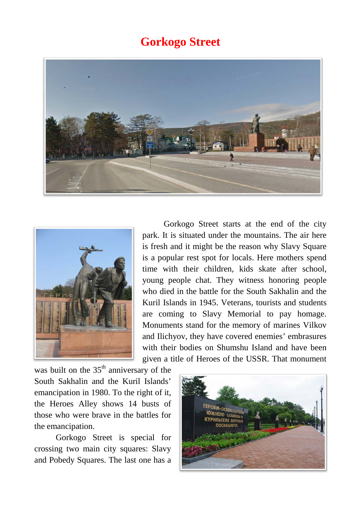## **Gorkogo Street**





Gorkogo Street starts at the end of the city park. It is situated under the mountains. The air here is fresh and it might be the reason why Slavy Square is a popular rest spot for locals. Here mothers spend time with their children, kids skate after school, young people chat. They witness honoring people who died in the battle for the South Sakhalin and the Kuril Islands in 1945. Veterans, tourists and students are coming to Slavy Memorial to pay homage. Monuments stand for the memory of marines Vilkov and Ilichyov, they have covered enemies' embrasures with their bodies on Shumshu Island and have been given a title of Heroes of the USSR. That monument

was built on the  $35<sup>th</sup>$  anniversary of the South Sakhalin and the Kuril Islands' emancipation in 1980. To the right of it, the Heroes Alley shows 14 busts of those who were brave in the battles for the emancipation.

Gorkogo Street is special for crossing two main city squares: Slavy and Pobedy Squares. The last one has a

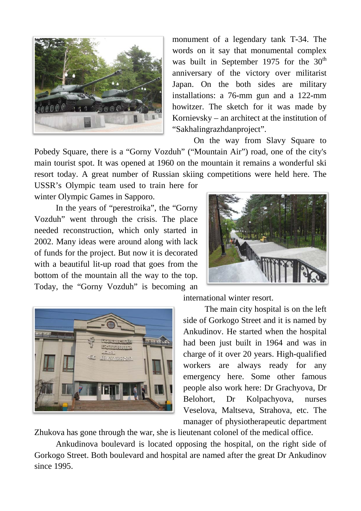

monument of a legendary tank T**-**34. The words on it say that monumental complex was built in September 1975 for the  $30<sup>th</sup>$ anniversary of the victory over militarist Japan. On the both sides are military installations: a 76**-**mm gun and a 122**-**mm howitzer. The sketch for it was made by Kornievsky – an architect at the institution of "Sakhalingrazhdanproject".

On the way from Slavy Square to Pobedy Square, there is a "Gorny Vozduh" ("Mountain Air") road, one of the city's main tourist spot. It was opened at 1960 on the mountain it remains a wonderful ski resort today. A great number of Russian skiing competitions were held here. The

USSR's Olympic team used to train here for winter Olympic Games in Sapporo.

In the years of "perestroika", the "Gorny Vozduh" went through the crisis. The place needed reconstruction, which only started in 2002. Many ideas were around along with lack of funds for the project. But now it is decorated with a beautiful lit-up road that goes from the bottom of the mountain all the way to the top. Today, the "Gorny Vozduh" is becoming an





international winter resort.

The main city hospital is on the left side of Gorkogo Street and it is named by Ankudinov. He started when the hospital had been just built in 1964 and was in charge of it over 20 years. High-qualified workers are always ready for any emergency here. Some other famous people also work here: Dr Grachyova, Dr Belohort, Dr Kolpachyova, nurses Veselova, Maltseva, Strahova, etc. The manager of physiotherapeutic department

Zhukova has gone through the war, she is lieutenant colonel of the medical office.

Ankudinova boulevard is located opposing the hospital, on the right side of Gorkogo Street. Both boulevard and hospital are named after the great Dr Ankudinov since 1995.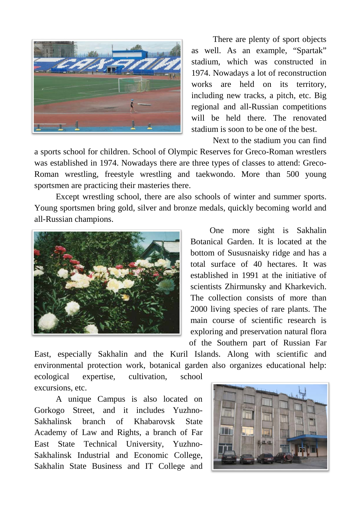

There are plenty of sport objects as well. As an example, "Spartak" stadium, which was constructed in 1974. Nowadays a lot of reconstruction works are held on its territory, including new tracks, a pitch, etc. Big regional and all-Russian competitions will be held there. The renovated stadium is soon to be one of the best.

Next to the stadium you can find

a sports school for children. School of Olympic Reserves for Greco-Roman wrestlers was established in 1974. Nowadays there are three types of classes to attend: Greco-Roman wrestling, freestyle wrestling and taekwondo. More than 500 young sportsmen are practicing their masteries there.

Except wrestling school, there are also schools of winter and summer sports. Young sportsmen bring gold, silver and bronze medals, quickly becoming world and all-Russian champions.



One more sight is Sakhalin Botanical Garden. It is located at the bottom of Sususnaisky ridge and has a total surface of 40 hectares. It was established in 1991 at the initiative of scientists Zhirmunsky and Kharkevich. The collection consists of more than 2000 living species of rare plants. The main course of scientific research is exploring and preservation natural flora of the Southern part of Russian Far

East, especially Sakhalin and the Kuril Islands. Along with scientific and environmental protection work, botanical garden also organizes educational help: ecological expertise, cultivation, school

excursions, etc.

A unique Campus is also located on Gorkogo Street, and it includes Yuzhno-Sakhalinsk branch of Khabarovsk State Academy of Law and Rights, a branch of Far East State Technical University, Yuzhno-Sakhalinsk Industrial and Economic College, Sakhalin State Business and IT College and